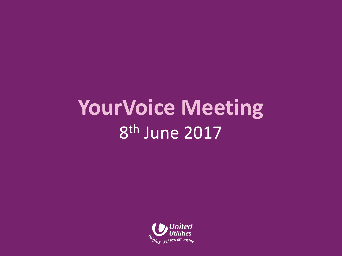## **YourVoice Meeting** 8 th June 2017